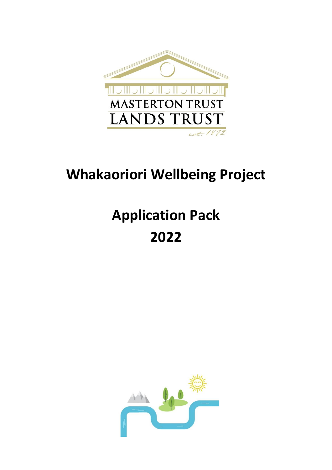

## **Whakaoriori Wellbeing Project**

# **Application Pack 2022**

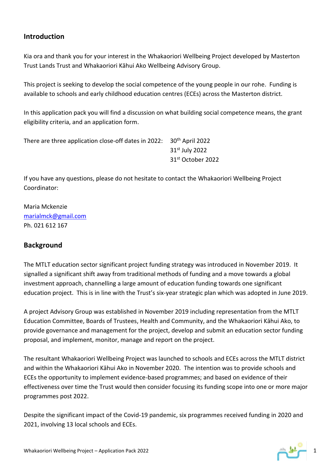## **Introduction**

Kia ora and thank you for your interest in the Whakaoriori Wellbeing Project developed by Masterton Trust Lands Trust and Whakaoriori Kāhui Ako Wellbeing Advisory Group.

This project is seeking to develop the social competence of the young people in our rohe. Funding is available to schools and early childhood education centres (ECEs) across the Masterton district.

In this application pack you will find a discussion on what building social competence means, the grant eligibility criteria, and an application form.

| There are three application close-off dates in 2022: 30 <sup>th</sup> April 2022 |                               |
|----------------------------------------------------------------------------------|-------------------------------|
|                                                                                  | 31 <sup>st</sup> July 2022    |
|                                                                                  | 31 <sup>st</sup> October 2022 |

If you have any questions, please do not hesitate to contact the Whakaoriori Wellbeing Project Coordinator:

Maria Mckenzie [marialmck@gmail.com](mailto:marialmck@gmail.com) Ph. 021 612 167

## **Background**

The MTLT education sector significant project funding strategy was introduced in November 2019. It signalled a significant shift away from traditional methods of funding and a move towards a global investment approach, channelling a large amount of education funding towards one significant education project. This is in line with the Trust's six-year strategic plan which was adopted in June 2019.

A project Advisory Group was established in November 2019 including representation from the MTLT Education Committee, Boards of Trustees, Health and Community, and the Whakaoriori Kāhui Ako, to provide governance and management for the project, develop and submit an education sector funding proposal, and implement, monitor, manage and report on the project.

The resultant Whakaoriori Wellbeing Project was launched to schools and ECEs across the MTLT district and within the Whakaoriori Kāhui Ako in November 2020. The intention was to provide schools and ECEs the opportunity to implement evidence-based programmes; and based on evidence of their effectiveness over time the Trust would then consider focusing its funding scope into one or more major programmes post 2022.

Despite the significant impact of the Covid-19 pandemic, six programmes received funding in 2020 and 2021, involving 13 local schools and ECEs.

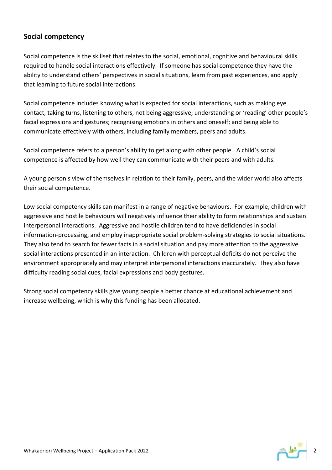## **Social competency**

Social competence is the skillset that relates to the social, emotional, cognitive and behavioural skills required to handle social interactions effectively. If someone has social competence they have the ability to understand others' perspectives in social situations, learn from past experiences, and apply that learning to future social interactions.

Social competence includes knowing what is expected for social interactions, such as making eye contact, taking turns, listening to others, not being aggressive; understanding or 'reading' other people's facial expressions and gestures; recognising emotions in others and oneself; and being able to communicate effectively with others, including family members, peers and adults.

Social competence refers to a person's ability to get along with other people. A child's social competence is affected by how well they can communicate with their peers and with adults.

A young person's view of themselves in relation to their family, peers, and the wider world also affects their social competence.

Low social competency skills can manifest in a range of negative behaviours. For example, children with aggressive and hostile behaviours will negatively influence their ability to form relationships and sustain interpersonal interactions. Aggressive and hostile children tend to have deficiencies in social information-processing, and employ inappropriate social problem-solving strategies to social situations. They also tend to search for fewer facts in a social situation and pay more attention to the aggressive social interactions presented in an interaction. Children with perceptual deficits do not perceive the environment appropriately and may interpret interpersonal interactions inaccurately. They also have difficulty reading social cues, facial expressions and body gestures.

Strong social competency skills give young people a better chance at educational achievement and increase wellbeing, which is why this funding has been allocated.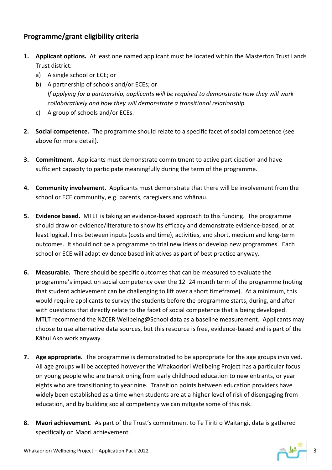## **Programme/grant eligibility criteria**

- **1. Applicant options.** At least one named applicant must be located within the Masterton Trust Lands Trust district.
	- a) A single school or ECE; or
	- b) A partnership of schools and/or ECEs; or *If applying for a partnership, applicants will be required to demonstrate how they will work collaboratively and how they will demonstrate a transitional relationship.*
	- c) A group of schools and/or ECEs.
- **2. Social competence.** The programme should relate to a specific facet of social competence (see above for more detail).
- **3. Commitment.** Applicants must demonstrate commitment to active participation and have sufficient capacity to participate meaningfully during the term of the programme.
- **4. Community involvement.** Applicants must demonstrate that there will be involvement from the school or ECE community, e.g. parents, caregivers and whānau.
- **5. Evidence based.** MTLT is taking an evidence-based approach to this funding. The programme should draw on evidence/literature to show its efficacy and demonstrate evidence-based, or at least logical, links between inputs (costs and time), activities, and short, medium and long-term outcomes. It should not be a programme to trial new ideas or develop new programmes. Each school or ECE will adapt evidence based initiatives as part of best practice anyway.
- **6. Measurable.** There should be specific outcomes that can be measured to evaluate the programme's impact on social competency over the 12–24 month term of the programme (noting that student achievement can be challenging to lift over a short timeframe). At a minimum, this would require applicants to survey the students before the programme starts, during, and after with questions that directly relate to the facet of social competence that is being developed. MTLT recommend the NZCER Wellbeing@School data as a baseline measurement. Applicants may choose to use alternative data sources, but this resource is free, evidence-based and is part of the Kāhui Ako work anyway.
- **7. Age appropriate.** The programme is demonstrated to be appropriate for the age groups involved. All age groups will be accepted however the Whakaoriori Wellbeing Project has a particular focus on young people who are transitioning from early childhood education to new entrants, or year eights who are transitioning to year nine. Transition points between education providers have widely been established as a time when students are at a higher level of risk of disengaging from education, and by building social competency we can mitigate some of this risk.
- **8. Maori achievement**. As part of the Trust's commitment to Te Tiriti o Waitangi, data is gathered specifically on Maori achievement.

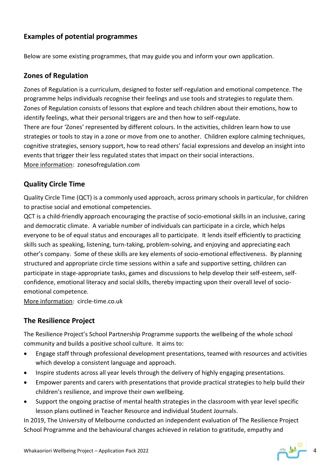## **Examples of potential programmes**

Below are some existing programmes, that may guide you and inform your own application.

## **Zones of Regulation**

Zones of Regulation is a curriculum, designed to foster self-regulation and emotional competence. The programme helps individuals recognise their feelings and use tools and strategies to regulate them. Zones of Regulation consists of lessons that explore and teach children about their emotions, how to identify feelings, what their personal triggers are and then how to self-regulate. There are four 'Zones' represented by different colours. In the activities, children learn how to use strategies or tools to stay in a zone or move from one to another. Children explore calming techniques, cognitive strategies, sensory support, how to read others' facial expressions and develop an insight into events that trigger their less regulated states that impact on their social interactions. More information: zonesofregulation.com

## **Quality Circle Time**

Quality Circle Time (QCT) is a commonly used approach, across primary schools in particular, for children to practise social and emotional competencies.

QCT is a child-friendly approach encouraging the practise of socio-emotional skills in an inclusive, caring and democratic climate. A variable number of individuals can participate in a circle, which helps everyone to be of equal status and encourages all to participate. It lends itself efficiently to practicing skills such as speaking, listening, turn-taking, problem-solving, and enjoying and appreciating each other's company. Some of these skills are key elements of socio-emotional effectiveness. By planning structured and appropriate circle time sessions within a safe and supportive setting, children can participate in stage-appropriate tasks, games and discussions to help develop their self-esteem, selfconfidence, emotional literacy and social skills, thereby impacting upon their overall level of socioemotional competence.

More information: circle-time.co.uk

## **The Resilience Project**

The Resilience Project's School Partnership Programme supports the wellbeing of the whole school community and builds a positive school culture. It aims to:

- Engage staff through professional development presentations, teamed with resources and activities which develop a consistent language and approach.
- Inspire students across all year levels through the delivery of highly engaging presentations.
- Empower parents and carers with presentations that provide practical strategies to help build their children's resilience, and improve their own wellbeing.
- Support the ongoing practise of mental health strategies in the classroom with year level specific lesson plans outlined in Teacher Resource and individual Student Journals.

In 2019, The University of Melbourne conducted an independent evaluation of The Resilience Project School Programme and the behavioural changes achieved in relation to gratitude, empathy and

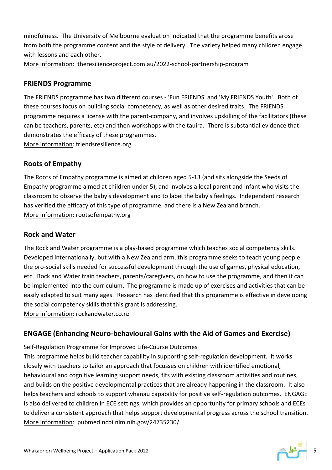mindfulness. The University of Melbourne evaluation indicated that the programme benefits arose from both the programme content and the style of delivery. The variety helped many children engage with lessons and each other.

More information: theresilienceproject.com.au/2022-school-partnership-program

## **FRIENDS Programme**

The FRIENDS programme has two different courses - 'Fun FRIENDS' and 'My FRIENDS Youth'. Both of these courses focus on building social competency, as well as other desired traits. The FRIENDS programme requires a license with the parent-company, and involves upskilling of the facilitators (these can be teachers, parents, etc) and then workshops with the tauira. There is substantial evidence that demonstrates the efficacy of these programmes.

More information: friendsresilience.org

## **Roots of Empathy**

The Roots of Empathy programme is aimed at children aged 5-13 (and sits alongside the Seeds of Empathy programme aimed at children under 5), and involves a local parent and infant who visits the classroom to observe the baby's development and to label the baby's feelings. Independent research has verified the efficacy of this type of programme, and there is a New Zealand branch. More information: rootsofempathy.org

## **Rock and Water**

The Rock and Water programme is a play-based programme which teaches social competency skills. Developed internationally, but with a New Zealand arm, this programme seeks to teach young people the pro-social skills needed for successful development through the use of games, physical education, etc. Rock and Water train teachers, parents/caregivers, on how to use the programme, and then it can be implemented into the curriculum. The programme is made up of exercises and activities that can be easily adapted to suit many ages. Research has identified that this programme is effective in developing the social competency skills that this grant is addressing.

More information: rockandwater.co.nz

## **ENGAGE (Enhancing Neuro-behavioural Gains with the Aid of Games and Exercise)**

### Self-Regulation Programme for Improved Life-Course Outcomes

This programme helps build teacher capability in supporting self-regulation development. It works closely with teachers to tailor an approach that focusses on children with identified emotional, behavioural and cognitive learning support needs, fits with existing classroom activities and routines, and builds on the positive developmental practices that are already happening in the classroom. It also helps teachers and schools to support whānau capability for positive self-regulation outcomes. ENGAGE is also delivered to children in ECE settings, which provides an opportunity for primary schools and ECEs to deliver a consistent approach that helps support developmental progress across the school transition. More information: pubmed.ncbi.nlm.nih.gov/24735230/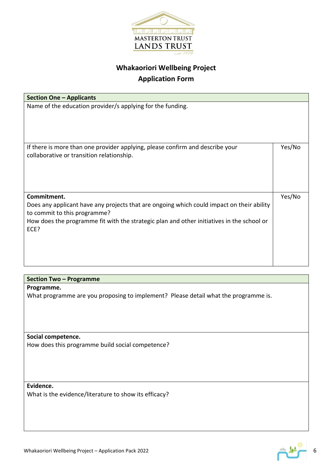

## **Whakaoriori Wellbeing Project Application Form**

| <b>Section One - Applicants</b>                                                                                           |        |  |
|---------------------------------------------------------------------------------------------------------------------------|--------|--|
| Name of the education provider/s applying for the funding.                                                                |        |  |
|                                                                                                                           |        |  |
|                                                                                                                           |        |  |
|                                                                                                                           |        |  |
| If there is more than one provider applying, please confirm and describe your                                             | Yes/No |  |
| collaborative or transition relationship.                                                                                 |        |  |
|                                                                                                                           |        |  |
|                                                                                                                           |        |  |
|                                                                                                                           |        |  |
|                                                                                                                           |        |  |
| Commitment.                                                                                                               | Yes/No |  |
| Does any applicant have any projects that are ongoing which could impact on their ability                                 |        |  |
| to commit to this programme?<br>How does the programme fit with the strategic plan and other initiatives in the school or |        |  |
| ECE?                                                                                                                      |        |  |
|                                                                                                                           |        |  |
|                                                                                                                           |        |  |
|                                                                                                                           |        |  |
|                                                                                                                           |        |  |
|                                                                                                                           |        |  |
| <b>Section Two - Programme</b>                                                                                            |        |  |
| Programme.<br>What programme are you proposing to implement? Please detail what the programme is.                         |        |  |
|                                                                                                                           |        |  |
|                                                                                                                           |        |  |
|                                                                                                                           |        |  |
|                                                                                                                           |        |  |
| Social competence.                                                                                                        |        |  |
| How does this programme build social competence?                                                                          |        |  |

**Evidence.** What is the evidence/literature to show its efficacy?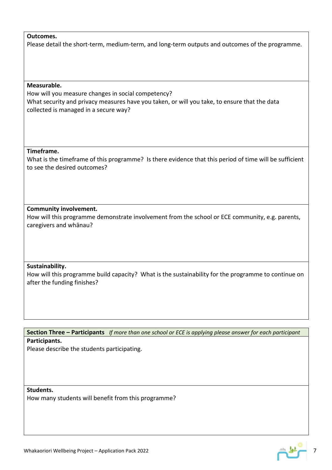#### **Outcomes.**

Please detail the short-term, medium-term, and long-term outputs and outcomes of the programme.

#### **Measurable.**

How will you measure changes in social competency? What security and privacy measures have you taken, or will you take, to ensure that the data collected is managed in a secure way?

#### **Timeframe.**

What is the timeframe of this programme? Is there evidence that this period of time will be sufficient to see the desired outcomes?

#### **Community involvement.**

How will this programme demonstrate involvement from the school or ECE community, e.g. parents, caregivers and whānau?

#### **Sustainability.**

How will this programme build capacity? What is the sustainability for the programme to continue on after the funding finishes?

**Section Three – Participants** *If more than one school or ECE is applying please answer for each participant* **Participants.**

Please describe the students participating.

**Students.** How many students will benefit from this programme?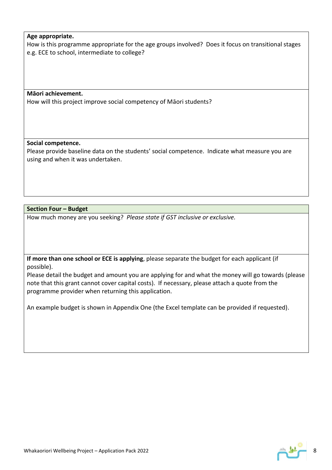#### **Age appropriate.**

How is this programme appropriate for the age groups involved? Does it focus on transitional stages e.g. ECE to school, intermediate to college?

**Māori achievement.**

How will this project improve social competency of Māori students?

#### **Social competence.**

Please provide baseline data on the students' social competence. Indicate what measure you are using and when it was undertaken.

#### **Section Four – Budget**

How much money are you seeking? *Please state if GST inclusive or exclusive.*

**If more than one school or ECE is applying**, please separate the budget for each applicant (if possible).

Please detail the budget and amount you are applying for and what the money will go towards (please note that this grant cannot cover capital costs). If necessary, please attach a quote from the programme provider when returning this application.

An example budget is shown in Appendix One (the Excel template can be provided if requested).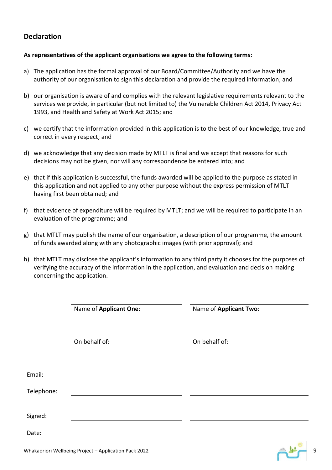## **Declaration**

#### **As representatives of the applicant organisations we agree to the following terms:**

- a) The application has the formal approval of our Board/Committee/Authority and we have the authority of our organisation to sign this declaration and provide the required information; and
- b) our organisation is aware of and complies with the relevant legislative requirements relevant to the services we provide, in particular (but not limited to) the Vulnerable Children Act 2014, Privacy Act 1993, and Health and Safety at Work Act 2015; and
- c) we certify that the information provided in this application is to the best of our knowledge, true and correct in every respect; and
- d) we acknowledge that any decision made by MTLT is final and we accept that reasons for such decisions may not be given, nor will any correspondence be entered into; and
- e) that if this application is successful, the funds awarded will be applied to the purpose as stated in this application and not applied to any other purpose without the express permission of MTLT having first been obtained; and
- f) that evidence of expenditure will be required by MTLT; and we will be required to participate in an evaluation of the programme; and
- g) that MTLT may publish the name of our organisation, a description of our programme, the amount of funds awarded along with any photographic images (with prior approval); and
- h) that MTLT may disclose the applicant's information to any third party it chooses for the purposes of verifying the accuracy of the information in the application, and evaluation and decision making concerning the application.

|            | Name of Applicant One: | Name of Applicant Two: |
|------------|------------------------|------------------------|
|            |                        |                        |
|            | On behalf of:          | On behalf of:          |
|            |                        |                        |
| Email:     |                        |                        |
| Telephone: |                        |                        |
|            |                        |                        |
| Signed:    |                        |                        |
| Date:      |                        |                        |
|            |                        |                        |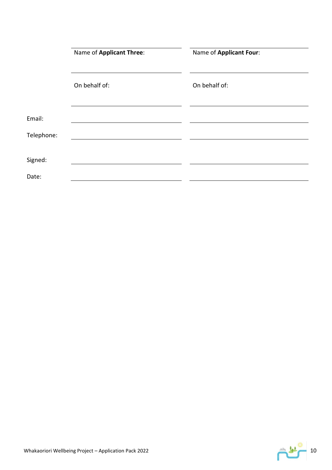|            | Name of Applicant Three: | Name of Applicant Four: |
|------------|--------------------------|-------------------------|
|            |                          |                         |
|            | On behalf of:            | On behalf of:           |
|            |                          |                         |
|            |                          |                         |
| Email:     |                          |                         |
| Telephone: |                          |                         |
|            |                          |                         |
| Signed:    |                          |                         |
| Date:      |                          |                         |
|            |                          |                         |